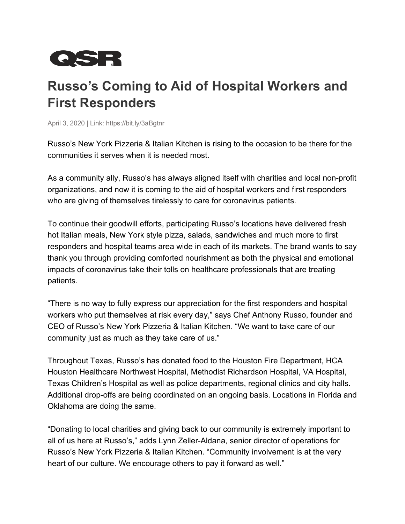

## **Russo's Coming to Aid of Hospital Workers and First Responders**

April 3, 2020 | Link: https://bit.ly/3aBgtnr

Russo's New York Pizzeria & Italian Kitchen is rising to the occasion to be there for the communities it serves when it is needed most.

As a community ally, Russo's has always aligned itself with charities and local non-profit organizations, and now it is coming to the aid of hospital workers and first responders who are giving of themselves tirelessly to care for coronavirus patients.

To continue their goodwill efforts, participating Russo's locations have delivered fresh hot Italian meals, New York style pizza, salads, sandwiches and much more to first responders and hospital teams area wide in each of its markets. The brand wants to say thank you through providing comforted nourishment as both the physical and emotional impacts of coronavirus take their tolls on healthcare professionals that are treating patients.

"There is no way to fully express our appreciation for the first responders and hospital workers who put themselves at risk every day," says Chef Anthony Russo, founder and CEO of Russo's New York Pizzeria & Italian Kitchen. "We want to take care of our community just as much as they take care of us."

Throughout Texas, Russo's has donated food to the Houston Fire Department, HCA Houston Healthcare Northwest Hospital, Methodist Richardson Hospital, VA Hospital, Texas Children's Hospital as well as police departments, regional clinics and city halls. Additional drop-offs are being coordinated on an ongoing basis. Locations in Florida and Oklahoma are doing the same.

"Donating to local charities and giving back to our community is extremely important to all of us here at Russo's," adds Lynn Zeller-Aldana, senior director of operations for Russo's New York Pizzeria & Italian Kitchen. "Community involvement is at the very heart of our culture. We encourage others to pay it forward as well."